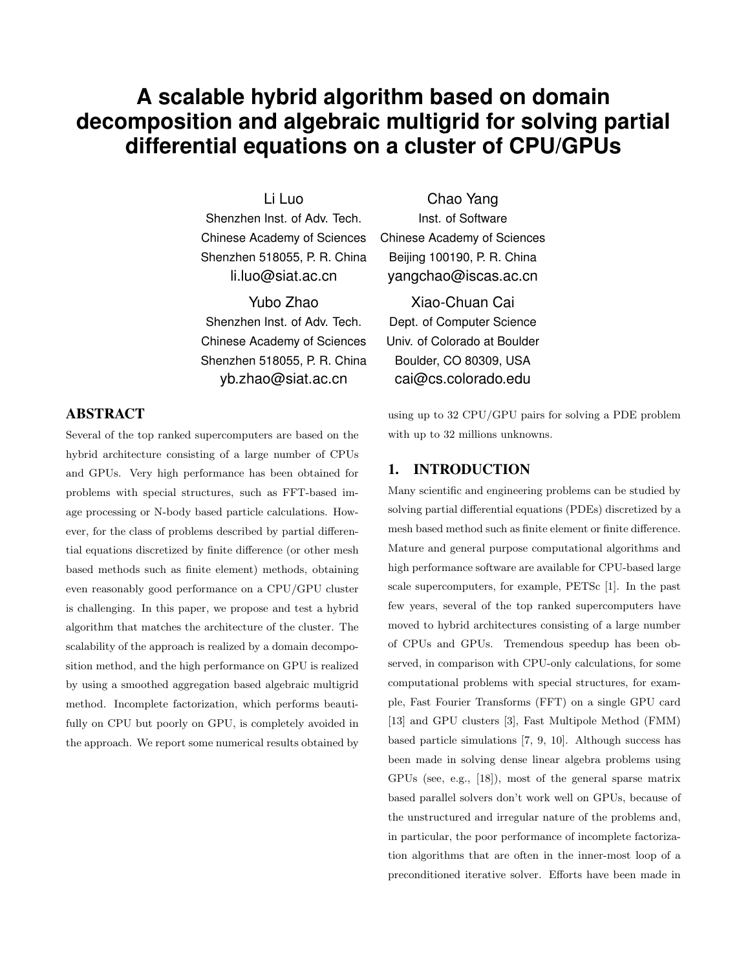# **A scalable hybrid algorithm based on domain decomposition and algebraic multigrid for solving partial differential equations on a cluster of CPU/GPUs**

Li Luo

Shenzhen Inst. of Adv. Tech. Chinese Academy of Sciences Shenzhen 518055, P. R. China li.luo@siat.ac.cn

Yubo Zhao Shenzhen Inst. of Adv. Tech. Chinese Academy of Sciences Shenzhen 518055, P. R. China

yb.zhao@siat.ac.cn

## ABSTRACT

Several of the top ranked supercomputers are based on the hybrid architecture consisting of a large number of CPUs and GPUs. Very high performance has been obtained for problems with special structures, such as FFT-based image processing or N-body based particle calculations. However, for the class of problems described by partial differential equations discretized by finite difference (or other mesh based methods such as finite element) methods, obtaining even reasonably good performance on a CPU/GPU cluster is challenging. In this paper, we propose and test a hybrid algorithm that matches the architecture of the cluster. The scalability of the approach is realized by a domain decomposition method, and the high performance on GPU is realized by using a smoothed aggregation based algebraic multigrid method. Incomplete factorization, which performs beautifully on CPU but poorly on GPU, is completely avoided in the approach. We report some numerical results obtained by

Chao Yang Inst. of Software Chinese Academy of Sciences Beijing 100190, P. R. China yangchao@iscas.ac.cn

Xiao-Chuan Cai Dept. of Computer Science Univ. of Colorado at Boulder Boulder, CO 80309, USA cai@cs.colorado.edu

using up to 32 CPU/GPU pairs for solving a PDE problem with up to 32 millions unknowns.

## 1. INTRODUCTION

Many scientific and engineering problems can be studied by solving partial differential equations (PDEs) discretized by a mesh based method such as finite element or finite difference. Mature and general purpose computational algorithms and high performance software are available for CPU-based large scale supercomputers, for example, PETSc [1]. In the past few years, several of the top ranked supercomputers have moved to hybrid architectures consisting of a large number of CPUs and GPUs. Tremendous speedup has been observed, in comparison with CPU-only calculations, for some computational problems with special structures, for example, Fast Fourier Transforms (FFT) on a single GPU card [13] and GPU clusters [3], Fast Multipole Method (FMM) based particle simulations [7, 9, 10]. Although success has been made in solving dense linear algebra problems using GPUs (see, e.g., [18]), most of the general sparse matrix based parallel solvers don't work well on GPUs, because of the unstructured and irregular nature of the problems and, in particular, the poor performance of incomplete factorization algorithms that are often in the inner-most loop of a preconditioned iterative solver. Efforts have been made in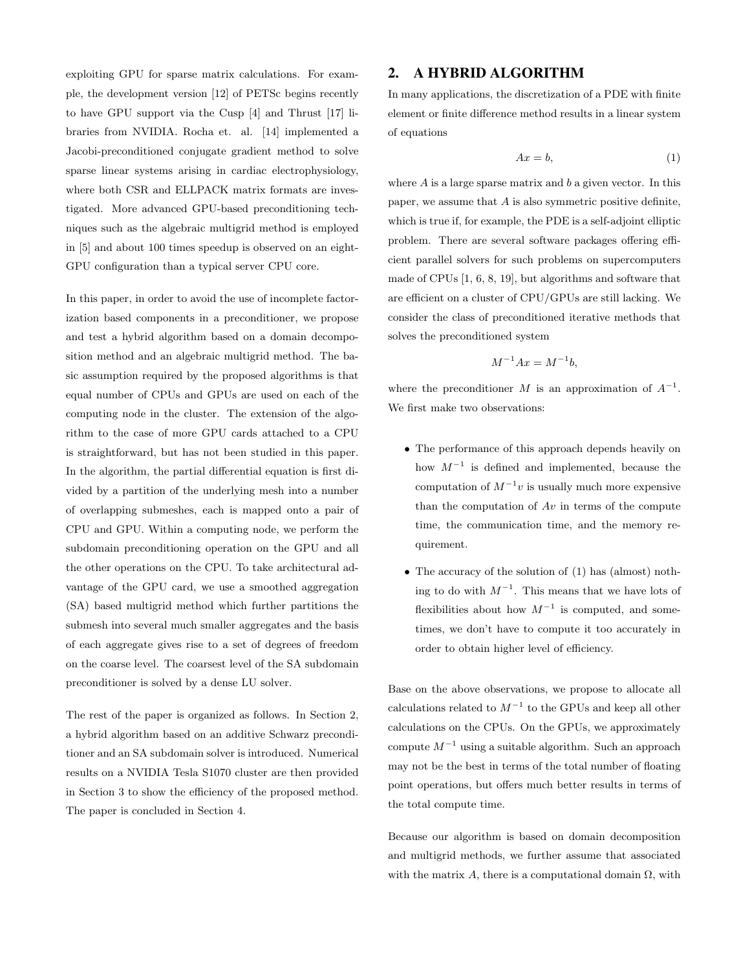exploiting GPU for sparse matrix calculations. For example, the development version [12] of PETSc begins recently to have GPU support via the Cusp [4] and Thrust [17] libraries from NVIDIA. Rocha et. al. [14] implemented a Jacobi-preconditioned conjugate gradient method to solve sparse linear systems arising in cardiac electrophysiology, where both CSR and ELLPACK matrix formats are investigated. More advanced GPU-based preconditioning techniques such as the algebraic multigrid method is employed in [5] and about 100 times speedup is observed on an eight-GPU configuration than a typical server CPU core.

In this paper, in order to avoid the use of incomplete factorization based components in a preconditioner, we propose and test a hybrid algorithm based on a domain decomposition method and an algebraic multigrid method. The basic assumption required by the proposed algorithms is that equal number of CPUs and GPUs are used on each of the computing node in the cluster. The extension of the algorithm to the case of more GPU cards attached to a CPU is straightforward, but has not been studied in this paper. In the algorithm, the partial differential equation is first divided by a partition of the underlying mesh into a number of overlapping submeshes, each is mapped onto a pair of CPU and GPU. Within a computing node, we perform the subdomain preconditioning operation on the GPU and all the other operations on the CPU. To take architectural advantage of the GPU card, we use a smoothed aggregation (SA) based multigrid method which further partitions the submesh into several much smaller aggregates and the basis of each aggregate gives rise to a set of degrees of freedom on the coarse level. The coarsest level of the SA subdomain preconditioner is solved by a dense LU solver.

The rest of the paper is organized as follows. In Section 2, a hybrid algorithm based on an additive Schwarz preconditioner and an SA subdomain solver is introduced. Numerical results on a NVIDIA Tesla S1070 cluster are then provided in Section 3 to show the efficiency of the proposed method. The paper is concluded in Section 4.

## 2. A HYBRID ALGORITHM

In many applications, the discretization of a PDE with finite element or finite difference method results in a linear system of equations

$$
Ax = b,\tag{1}
$$

where  $A$  is a large sparse matrix and  $b$  a given vector. In this paper, we assume that  $A$  is also symmetric positive definite, which is true if, for example, the PDE is a self-adjoint elliptic problem. There are several software packages offering efficient parallel solvers for such problems on supercomputers made of CPUs [1, 6, 8, 19], but algorithms and software that are efficient on a cluster of CPU/GPUs are still lacking. We consider the class of preconditioned iterative methods that solves the preconditioned system

$$
M^{-1}Ax = M^{-1}b,
$$

where the preconditioner M is an approximation of  $A^{-1}$ . We first make two observations:

- The performance of this approach depends heavily on how  $M^{-1}$  is defined and implemented, because the computation of  $M^{-1}v$  is usually much more expensive than the computation of  $Av$  in terms of the compute time, the communication time, and the memory requirement.
- The accuracy of the solution of (1) has (almost) nothing to do with  $M^{-1}$ . This means that we have lots of flexibilities about how  $M^{-1}$  is computed, and sometimes, we don't have to compute it too accurately in order to obtain higher level of efficiency.

Base on the above observations, we propose to allocate all calculations related to  $M^{-1}$  to the GPUs and keep all other calculations on the CPUs. On the GPUs, we approximately compute  $M^{-1}$  using a suitable algorithm. Such an approach may not be the best in terms of the total number of floating point operations, but offers much better results in terms of the total compute time.

Because our algorithm is based on domain decomposition and multigrid methods, we further assume that associated with the matrix A, there is a computational domain  $\Omega$ , with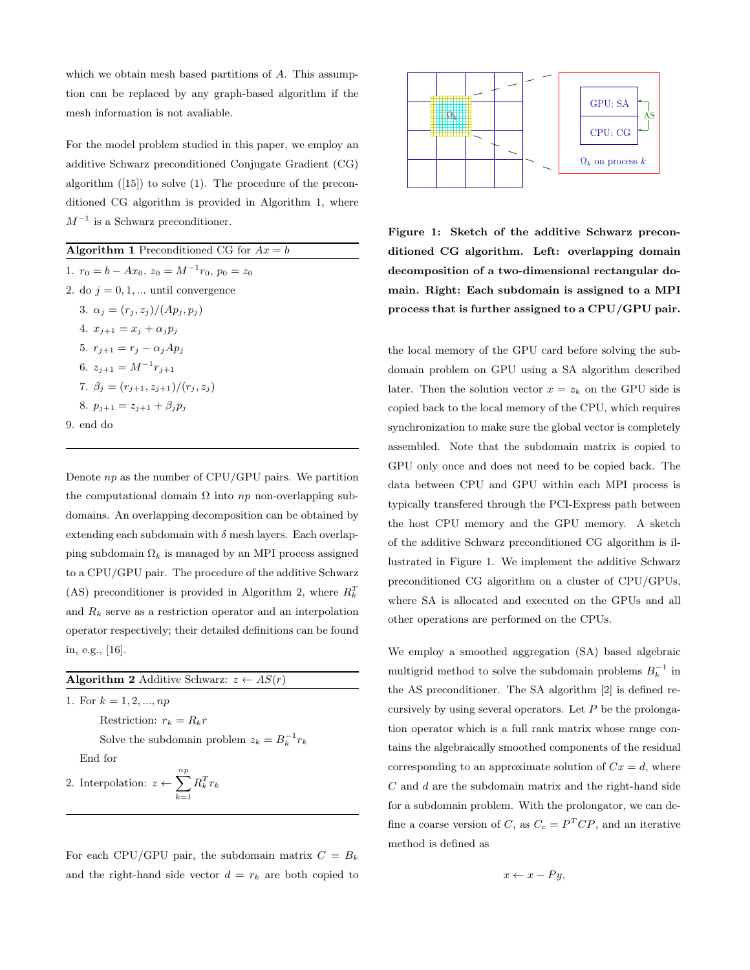which we obtain mesh based partitions of A. This assumption can be replaced by any graph-based algorithm if the mesh information is not avaliable.

For the model problem studied in this paper, we employ an additive Schwarz preconditioned Conjugate Gradient (CG) algorithm ([15]) to solve (1). The procedure of the preconditioned CG algorithm is provided in Algorithm 1, where  $M^{-1}$  is a Schwarz preconditioner.

**Algorithm 1** Preconditioned CG for  $Ax = b$ 1.  $r_0 = b - Ax_0$ ,  $z_0 = M^{-1}r_0$ ,  $p_0 = z_0$ 

2. do  $j = 0, 1, \dots$  until convergence 3.  $\alpha_j = (r_j, z_j)/(Ap_j, p_j)$ 4.  $x_{j+1} = x_j + \alpha_j p_j$ 5.  $r_{j+1} = r_j - \alpha_j Ap_j$ 6.  $z_{j+1} = M^{-1}r_{j+1}$ 7.  $\beta_j = (r_{j+1}, z_{j+1})/(r_j, z_j)$ 8.  $p_{j+1} = z_{j+1} + \beta_j p_j$ 9. end do

Denote  $np$  as the number of CPU/GPU pairs. We partition the computational domain  $\Omega$  into np non-overlapping subdomains. An overlapping decomposition can be obtained by extending each subdomain with  $\delta$  mesh layers. Each overlapping subdomain  $\Omega_k$  is managed by an MPI process assigned to a CPU/GPU pair. The procedure of the additive Schwarz (AS) preconditioner is provided in Algorithm 2, where  $R_k^T$ and  $R_k$  serve as a restriction operator and an interpolation operator respectively; their detailed definitions can be found in, e.g., [16].

| <b>Algorithm 2</b> Additive Schwarz: $z \leftarrow AS(r)$       |
|-----------------------------------------------------------------|
| 1. For $k = 1, 2, , np$                                         |
| Restriction: $r_k = R_k r$                                      |
| Solve the subdomain problem $z_k = B_k^{-1} r_k$                |
| End for                                                         |
| n p<br>2. Interpolation: $z \leftarrow \sum R_k^T r_k$<br>$k=1$ |
|                                                                 |

For each CPU/GPU pair, the subdomain matrix  $C = B_k$ and the right-hand side vector  $d = r_k$  are both copied to



Figure 1: Sketch of the additive Schwarz preconditioned CG algorithm. Left: overlapping domain decomposition of a two-dimensional rectangular domain. Right: Each subdomain is assigned to a MPI process that is further assigned to a CPU/GPU pair.

lustrated in Figure 1. We implement the additive Schwarz the local memory of the GPU card before solving the subdomain problem on GPU using a SA algorithm described later. Then the solution vector  $x = z_k$  on the GPU side is copied back to the local memory of the CPU, which requires synchronization to make sure the global vector is completely assembled. Note that the subdomain matrix is copied to GPU only once and does not need to be copied back. The data between CPU and GPU within each MPI process is typically transfered through the PCI-Express path between the host CPU memory and the GPU memory. A sketch of the additive Schwarz preconditioned CG algorithm is ilpreconditioned CG algorithm on a cluster of CPU/GPUs, where SA is allocated and executed on the GPUs and all other operations are performed on the CPUs.

We employ a smoothed aggregation (SA) based algebraic multigrid method to solve the subdomain problems  $B_k^{-1}$  in the AS preconditioner. The SA algorithm [2] is defined recursively by using several operators. Let  $P$  be the prolongation operator which is a full rank matrix whose range contains the algebraically smoothed components of the residual corresponding to an approximate solution of  $Cx = d$ , where  $C$  and  $d$  are the subdomain matrix and the right-hand side for a subdomain problem. With the prolongator, we can define a coarse version of C, as  $C_c = P^T C P$ , and an iterative method is defined as

$$
x \leftarrow x - Py,
$$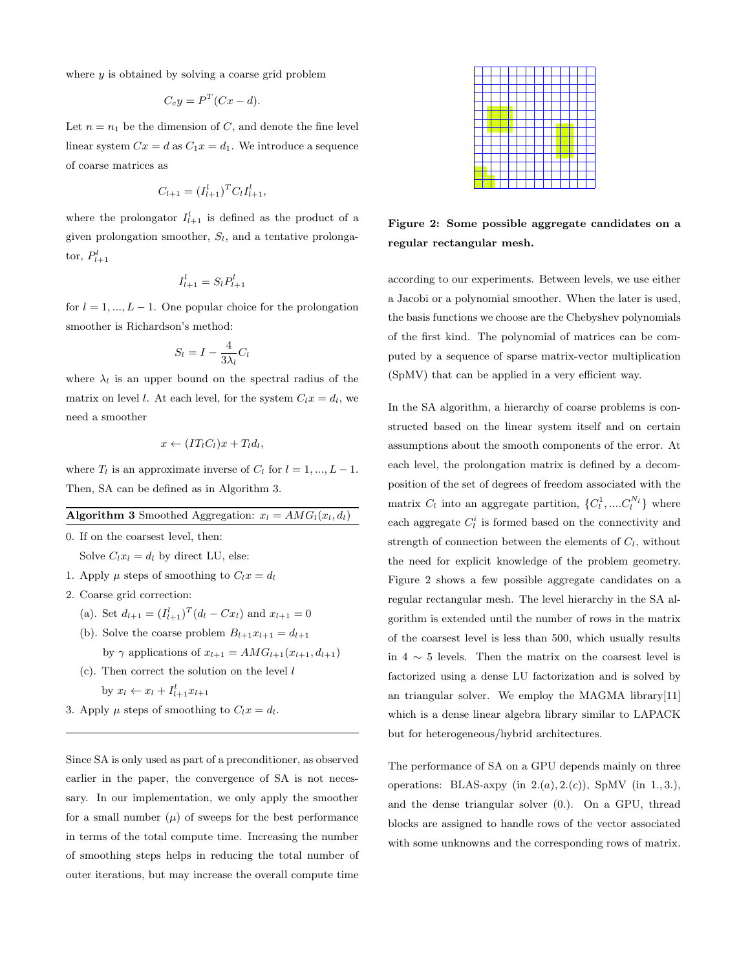where  $y$  is obtained by solving a coarse grid problem

$$
C_c y = P^T (Cx - d).
$$

Let  $n = n_1$  be the dimension of C, and denote the fine level linear system  $Cx = d$  as  $C_1x = d_1$ . We introduce a sequence of coarse matrices as

$$
C_{l+1} = (I_{l+1}^l)^T C_l I_{l+1}^l,
$$

where the prolongator  $I_{l+1}^l$  is defined as the product of a given prolongation smoother,  $S_l$ , and a tentative prolongator,  $P_{l+1}^l$ 

$$
I_{l+1}^l = S_l P_{l+1}^l
$$

for  $l = 1, ..., L - 1$ . One popular choice for the prolongation smoother is Richardson's method:

$$
S_l = I - \frac{4}{3\lambda_l}C_l
$$

where  $\lambda_l$  is an upper bound on the spectral radius of the matrix on level l. At each level, for the system  $C_l x = d_l$ , we need a smoother

$$
x \leftarrow (IT_lC_l)x + T_l d_l,
$$

where  $T_l$  is an approximate inverse of  $C_l$  for  $l = 1, ..., L - 1$ . Then, SA can be defined as in Algorithm 3.

#### **Algorithm 3** Smoothed Aggregation:  $x_l = AMG_l(x_l, d_l)$

0. If on the coarsest level, then:

Solve  $C_l x_l = d_l$  by direct LU, else:

- 1. Apply  $\mu$  steps of smoothing to  $C_l x = d_l$
- 2. Coarse grid correction:
	- (a). Set  $d_{l+1} = (I_{l+1}^l)^T (d_l Cx_l)$  and  $x_{l+1} = 0$
	- (b). Solve the coarse problem  $B_{l+1}x_{l+1} = d_{l+1}$ by  $\gamma$  applications of  $x_{l+1} = AMG_{l+1}(x_{l+1}, d_{l+1})$
	- $(c)$ . Then correct the solution on the level  $l$ by  $x_l \leftarrow x_l + I_{l+1}^l x_{l+1}$
- 3. Apply  $\mu$  steps of smoothing to  $C_l x = d_l$ .

Since SA is only used as part of a preconditioner, as observed earlier in the paper, the convergence of SA is not necessary. In our implementation, we only apply the smoother for a small number  $(\mu)$  of sweeps for the best performance in terms of the total compute time. Increasing the number of smoothing steps helps in reducing the total number of outer iterations, but may increase the overall compute time



Figure 2: Some possible aggregate candidates on a regular rectangular mesh.

according to our experiments. Between levels, we use either a Jacobi or a polynomial smoother. When the later is used, the basis functions we choose are the Chebyshev polynomials of the first kind. The polynomial of matrices can be computed by a sequence of sparse matrix-vector multiplication (SpMV) that can be applied in a very efficient way.

In the SA algorithm, a hierarchy of coarse problems is constructed based on the linear system itself and on certain assumptions about the smooth components of the error. At each level, the prolongation matrix is defined by a decomposition of the set of degrees of freedom associated with the matrix  $C_l$  into an aggregate partition,  $\{C_l^1, \ldots, C_l^{N_l}\}$  where each aggregate  $C_l^i$  is formed based on the connectivity and strength of connection between the elements of  $C_l$ , without the need for explicit knowledge of the problem geometry. Figure 2 shows a few possible aggregate candidates on a regular rectangular mesh. The level hierarchy in the SA algorithm is extended until the number of rows in the matrix of the coarsest level is less than 500, which usually results in  $4 \sim 5$  levels. Then the matrix on the coarsest level is factorized using a dense LU factorization and is solved by an triangular solver. We employ the MAGMA library[11] which is a dense linear algebra library similar to LAPACK but for heterogeneous/hybrid architectures.

The performance of SA on a GPU depends mainly on three operations: BLAS-axpy (in  $2.(a), 2.(c)$ ), SpMV (in 1., 3.), and the dense triangular solver (0.). On a GPU, thread blocks are assigned to handle rows of the vector associated with some unknowns and the corresponding rows of matrix.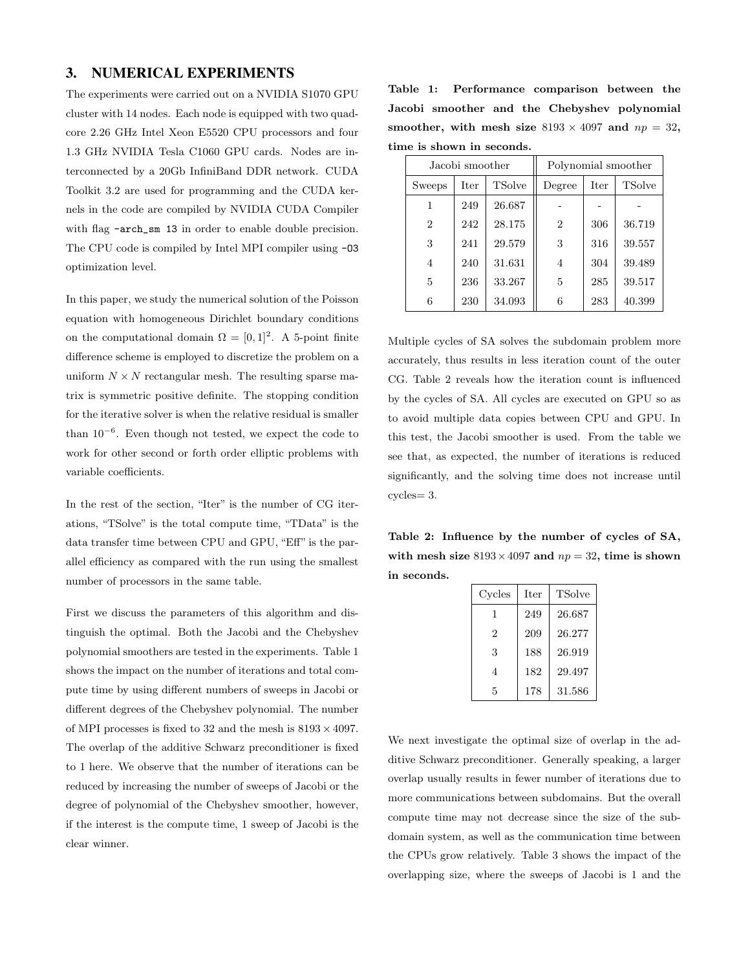## 3. NUMERICAL EXPERIMENTS

The experiments were carried out on a NVIDIA S1070 GPU cluster with 14 nodes. Each node is equipped with two quadcore 2.26 GHz Intel Xeon E5520 CPU processors and four 1.3 GHz NVIDIA Tesla C1060 GPU cards. Nodes are interconnected by a 20Gb InfiniBand DDR network. CUDA Toolkit 3.2 are used for programming and the CUDA kernels in the code are compiled by NVIDIA CUDA Compiler with flag  $-arch_{sm}$  13 in order to enable double precision. The CPU code is compiled by Intel MPI compiler using -O3 optimization level.

In this paper, we study the numerical solution of the Poisson equation with homogeneous Dirichlet boundary conditions on the computational domain  $\Omega = [0,1]^2$ . A 5-point finite difference scheme is employed to discretize the problem on a uniform  $N \times N$  rectangular mesh. The resulting sparse matrix is symmetric positive definite. The stopping condition for the iterative solver is when the relative residual is smaller than 10<sup>−</sup><sup>6</sup> . Even though not tested, we expect the code to work for other second or forth order elliptic problems with variable coefficients.

In the rest of the section, "Iter" is the number of CG iterations, "TSolve" is the total compute time, "TData" is the data transfer time between CPU and GPU, "Eff" is the parallel efficiency as compared with the run using the smallest number of processors in the same table.

First we discuss the parameters of this algorithm and distinguish the optimal. Both the Jacobi and the Chebyshev polynomial smoothers are tested in the experiments. Table 1 shows the impact on the number of iterations and total compute time by using different numbers of sweeps in Jacobi or different degrees of the Chebyshev polynomial. The number of MPI processes is fixed to 32 and the mesh is  $8193 \times 4097$ . The overlap of the additive Schwarz preconditioner is fixed to 1 here. We observe that the number of iterations can be reduced by increasing the number of sweeps of Jacobi or the degree of polynomial of the Chebyshev smoother, however, if the interest is the compute time, 1 sweep of Jacobi is the clear winner.

Table 1: Performance comparison between the Jacobi smoother and the Chebyshev polynomial smoother, with mesh size  $8193 \times 4097$  and  $np = 32$ , time is shown in seconds.

|                | Jacobi smoother |               |                | Polynomial smoother |        |  |
|----------------|-----------------|---------------|----------------|---------------------|--------|--|
| Iter<br>Sweeps |                 | <b>TSolve</b> | Degree         | Iter                | TSolve |  |
| 1              | 249             | 26.687        |                |                     |        |  |
| $\overline{2}$ | 242             | 28.175        | $\overline{2}$ | 306                 | 36.719 |  |
| 3              | 241             | 29.579        | 3              | 316                 | 39.557 |  |
| $\overline{4}$ | 240             | 31.631        | 4              | 304                 | 39.489 |  |
| 5              | 236             | 33.267        | 5              | 285                 | 39.517 |  |
| 6              | 230             | 34.093        | 6              | 283                 | 40.399 |  |

Multiple cycles of SA solves the subdomain problem more accurately, thus results in less iteration count of the outer CG. Table 2 reveals how the iteration count is influenced by the cycles of SA. All cycles are executed on GPU so as to avoid multiple data copies between CPU and GPU. In this test, the Jacobi smoother is used. From the table we see that, as expected, the number of iterations is reduced significantly, and the solving time does not increase until cycles= 3.

Table 2: Influence by the number of cycles of SA, with mesh size  $8193 \times 4097$  and  $np = 32$ , time is shown in seconds.

| Cycles | <b>Iter</b> | <b>TSolve</b> |
|--------|-------------|---------------|
| 1      | 249         | 26.687        |
| 2      | 209         | 26.277        |
| 3      | 188         | 26.919        |
| 4      | 182         | 29.497        |
| 5      | 178         | 31.586        |

We next investigate the optimal size of overlap in the additive Schwarz preconditioner. Generally speaking, a larger overlap usually results in fewer number of iterations due to more communications between subdomains. But the overall compute time may not decrease since the size of the subdomain system, as well as the communication time between the CPUs grow relatively. Table 3 shows the impact of the overlapping size, where the sweeps of Jacobi is 1 and the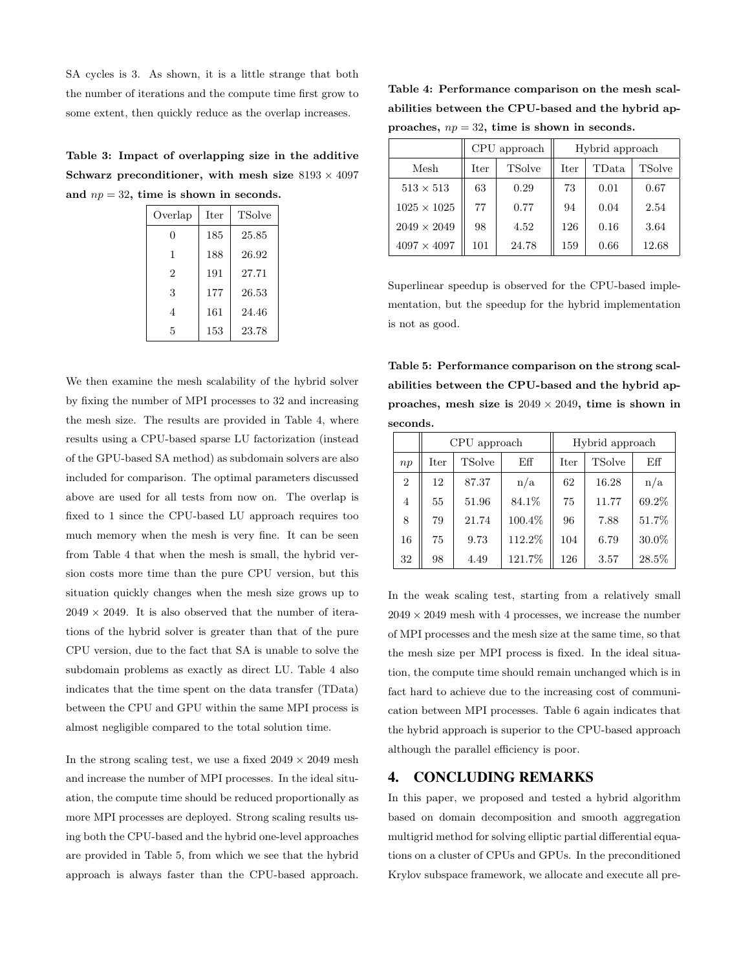SA cycles is 3. As shown, it is a little strange that both the number of iterations and the compute time first grow to some extent, then quickly reduce as the overlap increases.

Table 3: Impact of overlapping size in the additive Schwarz preconditioner, with mesh size  $8193 \times 4097$ and  $np = 32$ , time is shown in seconds.

| Overlap | <b>Iter</b> | TSolve |
|---------|-------------|--------|
| 0       | 185         | 25.85  |
| 1       | 188         | 26.92  |
| 2       | 191         | 27.71  |
| 3       | 177         | 26.53  |
| 4       | 161         | 24.46  |
| 5       | 153         | 23.78  |

We then examine the mesh scalability of the hybrid solver by fixing the number of MPI processes to 32 and increasing the mesh size. The results are provided in Table 4, where results using a CPU-based sparse LU factorization (instead of the GPU-based SA method) as subdomain solvers are also included for comparison. The optimal parameters discussed above are used for all tests from now on. The overlap is fixed to 1 since the CPU-based LU approach requires too much memory when the mesh is very fine. It can be seen from Table 4 that when the mesh is small, the hybrid version costs more time than the pure CPU version, but this situation quickly changes when the mesh size grows up to  $2049 \times 2049$ . It is also observed that the number of iterations of the hybrid solver is greater than that of the pure CPU version, due to the fact that SA is unable to solve the subdomain problems as exactly as direct LU. Table 4 also indicates that the time spent on the data transfer (TData) between the CPU and GPU within the same MPI process is almost negligible compared to the total solution time.

In the strong scaling test, we use a fixed  $2049 \times 2049$  mesh and increase the number of MPI processes. In the ideal situation, the compute time should be reduced proportionally as more MPI processes are deployed. Strong scaling results using both the CPU-based and the hybrid one-level approaches are provided in Table 5, from which we see that the hybrid approach is always faster than the CPU-based approach.

Table 4: Performance comparison on the mesh scalabilities between the CPU-based and the hybrid approaches,  $np = 32$ , time is shown in seconds.

|                    | CPU approach          |       | Hybrid approach |       |               |
|--------------------|-----------------------|-------|-----------------|-------|---------------|
| Mesh               | <b>TSolve</b><br>Iter |       | Iter            | TData | <b>TSolve</b> |
| $513 \times 513$   | 63                    | 0.29  | 73              | 0.01  | 0.67          |
| $1025 \times 1025$ | 77                    | 0.77  | 94              | 0.04  | 2.54          |
| $2049 \times 2049$ | 98                    | 4.52  | 126             | 0.16  | 3.64          |
| $4097 \times 4097$ | 101                   | 24.78 | 159             | 0.66  | 12.68         |

Superlinear speedup is observed for the CPU-based implementation, but the speedup for the hybrid implementation is not as good.

Table 5: Performance comparison on the strong scalabilities between the CPU-based and the hybrid approaches, mesh size is  $2049 \times 2049$ , time is shown in seconds.

|                |      | CPU approach  |        | Hybrid approach |               |       |
|----------------|------|---------------|--------|-----------------|---------------|-------|
| np             | Iter | <b>TSolve</b> | Eff    | $_{\rm iter}$   | <b>TSolve</b> | Eff   |
| $\overline{2}$ | 12   | 87.37         | n/a    | 62              | 16.28         | n/a   |
| $\overline{4}$ | 55   | 51.96         | 84.1%  | 75              | 11.77         | 69.2% |
| 8              | 79   | 21.74         | 100.4% | 96              | 7.88          | 51.7% |
| 16             | 75   | 9.73          | 112.2% | 104             | 6.79          | 30.0% |
| 32             | 98   | 4.49          | 121.7% | 126             | 3.57          | 28.5% |

In the weak scaling test, starting from a relatively small  $2049 \times 2049$  mesh with 4 processes, we increase the number of MPI processes and the mesh size at the same time, so that the mesh size per MPI process is fixed. In the ideal situation, the compute time should remain unchanged which is in fact hard to achieve due to the increasing cost of communication between MPI processes. Table 6 again indicates that the hybrid approach is superior to the CPU-based approach although the parallel efficiency is poor.

## 4. CONCLUDING REMARKS

In this paper, we proposed and tested a hybrid algorithm based on domain decomposition and smooth aggregation multigrid method for solving elliptic partial differential equations on a cluster of CPUs and GPUs. In the preconditioned Krylov subspace framework, we allocate and execute all pre-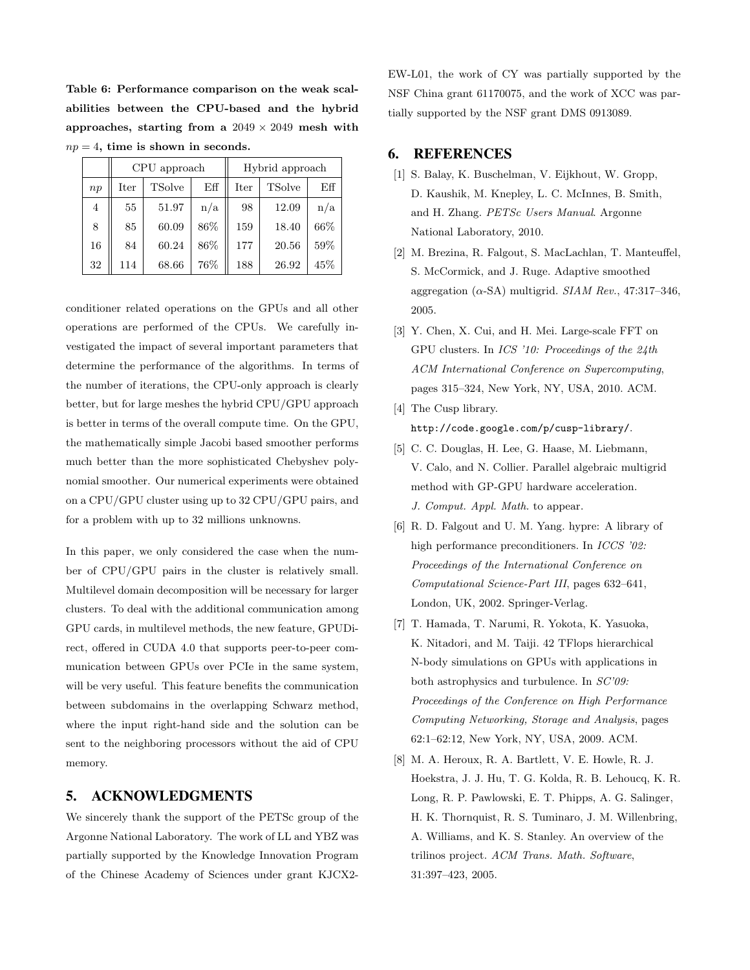Table 6: Performance comparison on the weak scalabilities between the CPU-based and the hybrid approaches, starting from a  $2049 \times 2049$  mesh with  $np = 4$ , time is shown in seconds.

|    |      | CPU approach  |     |             | Hybrid approach |      |
|----|------|---------------|-----|-------------|-----------------|------|
| np | Iter | <b>TSolve</b> |     | <b>Iter</b> | <b>TSolve</b>   | Eff  |
| 4  | 55   | 51.97         | n/a | 98          | 12.09           | n/a  |
| 8  | 85   | 60.09         | 86% | 159         | 18.40           | 66\% |
| 16 | 84   | 60.24         | 86% | 177         | 20.56           | 59%  |
| 32 | 114  | 68.66         | 76% | 188         | 26.92           | 45%  |

conditioner related operations on the GPUs and all other operations are performed of the CPUs. We carefully investigated the impact of several important parameters that determine the performance of the algorithms. In terms of the number of iterations, the CPU-only approach is clearly better, but for large meshes the hybrid CPU/GPU approach is better in terms of the overall compute time. On the GPU, the mathematically simple Jacobi based smoother performs much better than the more sophisticated Chebyshev polynomial smoother. Our numerical experiments were obtained on a CPU/GPU cluster using up to 32 CPU/GPU pairs, and for a problem with up to 32 millions unknowns.

In this paper, we only considered the case when the number of CPU/GPU pairs in the cluster is relatively small. Multilevel domain decomposition will be necessary for larger clusters. To deal with the additional communication among GPU cards, in multilevel methods, the new feature, GPUDirect, offered in CUDA 4.0 that supports peer-to-peer communication between GPUs over PCIe in the same system, will be very useful. This feature benefits the communication between subdomains in the overlapping Schwarz method, where the input right-hand side and the solution can be sent to the neighboring processors without the aid of CPU memory.

## 5. ACKNOWLEDGMENTS

We sincerely thank the support of the PETSc group of the Argonne National Laboratory. The work of LL and YBZ was partially supported by the Knowledge Innovation Program of the Chinese Academy of Sciences under grant KJCX2EW-L01, the work of CY was partially supported by the NSF China grant 61170075, and the work of XCC was partially supported by the NSF grant DMS 0913089.

### 6. REFERENCES

- [1] S. Balay, K. Buschelman, V. Eijkhout, W. Gropp, D. Kaushik, M. Knepley, L. C. McInnes, B. Smith, and H. Zhang. PETSc Users Manual. Argonne National Laboratory, 2010.
- [2] M. Brezina, R. Falgout, S. MacLachlan, T. Manteuffel, S. McCormick, and J. Ruge. Adaptive smoothed aggregation  $(\alpha$ -SA) multigrid. SIAM Rev., 47:317-346, 2005.
- [3] Y. Chen, X. Cui, and H. Mei. Large-scale FFT on GPU clusters. In ICS '10: Proceedings of the 24th ACM International Conference on Supercomputing, pages 315–324, New York, NY, USA, 2010. ACM.
- [4] The Cusp library. http://code.google.com/p/cusp-library/.
- [5] C. C. Douglas, H. Lee, G. Haase, M. Liebmann, V. Calo, and N. Collier. Parallel algebraic multigrid method with GP-GPU hardware acceleration. J. Comput. Appl. Math. to appear.
- [6] R. D. Falgout and U. M. Yang. hypre: A library of high performance preconditioners. In *ICCS* '02: Proceedings of the International Conference on Computational Science-Part III, pages 632–641, London, UK, 2002. Springer-Verlag.
- [7] T. Hamada, T. Narumi, R. Yokota, K. Yasuoka, K. Nitadori, and M. Taiji. 42 TFlops hierarchical N-body simulations on GPUs with applications in both astrophysics and turbulence. In SC'09: Proceedings of the Conference on High Performance Computing Networking, Storage and Analysis, pages 62:1–62:12, New York, NY, USA, 2009. ACM.
- [8] M. A. Heroux, R. A. Bartlett, V. E. Howle, R. J. Hoekstra, J. J. Hu, T. G. Kolda, R. B. Lehoucq, K. R. Long, R. P. Pawlowski, E. T. Phipps, A. G. Salinger, H. K. Thornquist, R. S. Tuminaro, J. M. Willenbring, A. Williams, and K. S. Stanley. An overview of the trilinos project. ACM Trans. Math. Software, 31:397–423, 2005.